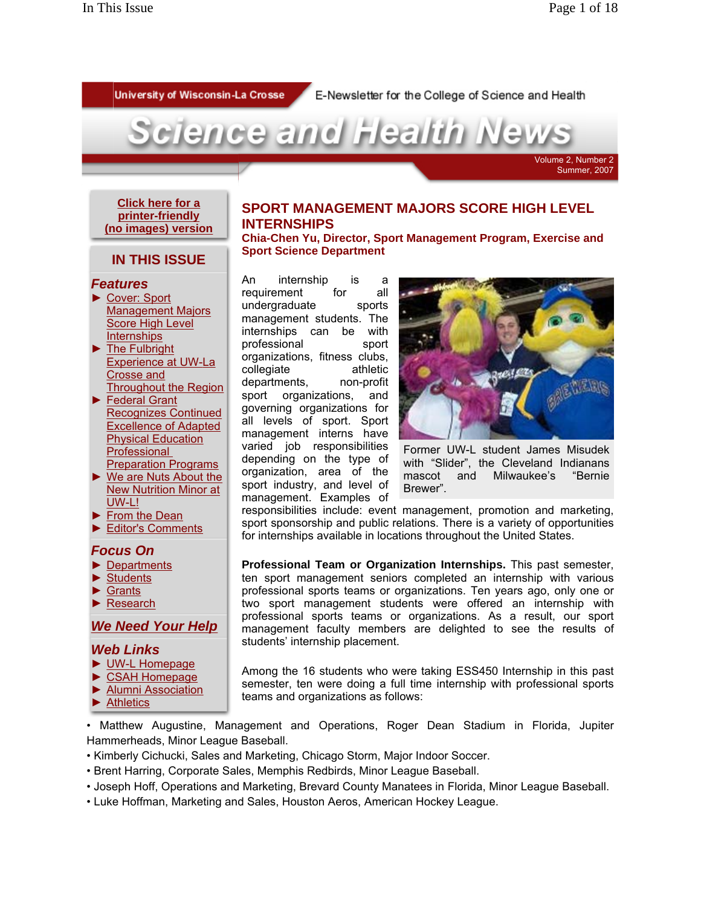University of Wisconsin-La Crosse

E-Newsletter for the College of Science and Health



#### **Click here for a printer-friendly (no images) version**

# **SPORT MANAGEMENT MAJORS SCORE HIGH LEVEL INTERNSHIPS**

# **IN THIS ISSUE**

#### *Features*

- ► Cover: Sport Management Majors Score High Level **Internships**
- ► The Fulbright Experience at UW-La Crosse and Throughout the Region
- ► Federal Grant Recognizes Continued Excellence of Adapted Physical Education **Professional** Preparation Programs
- ► We are Nuts About the New Nutrition Minor at UW-L!
- ► From the Dean
- ► Editor's Comments

#### *Focus On*

- ► Departments
- **Students**
- ► Grants
- ► Research

## *We Need Your Help*

### *Web Links*

- ► UW-L Homepage
- ► CSAH Homepage
- ► Alumni Association
- ► Athletics

**Chia-Chen Yu, Director, Sport Management Program, Exercise and Sport Science Department**

An internship is a requirement for all undergraduate sports management students. The internships can be with professional sport organizations, fitness clubs, collegiate athletic departments, non-profit sport organizations, and governing organizations for all levels of sport. Sport management interns have varied job responsibilities depending on the type of organization, area of the sport industry, and level of management. Examples of



Former UW-L student James Misudek with "Slider", the Cleveland Indianans mascot and Milwaukee's "Bernie Brewer".

responsibilities include: event management, promotion and marketing, sport sponsorship and public relations. There is a variety of opportunities for internships available in locations throughout the United States.

**Professional Team or Organization Internships.** This past semester, ten sport management seniors completed an internship with various professional sports teams or organizations. Ten years ago, only one or two sport management students were offered an internship with professional sports teams or organizations. As a result, our sport management faculty members are delighted to see the results of students' internship placement.

Among the 16 students who were taking ESS450 Internship in this past semester, ten were doing a full time internship with professional sports teams and organizations as follows:

• Matthew Augustine, Management and Operations, Roger Dean Stadium in Florida, Jupiter Hammerheads, Minor League Baseball.

- Kimberly Cichucki, Sales and Marketing, Chicago Storm, Major Indoor Soccer.
- Brent Harring, Corporate Sales, Memphis Redbirds, Minor League Baseball.
- Joseph Hoff, Operations and Marketing, Brevard County Manatees in Florida, Minor League Baseball.
- Luke Hoffman, Marketing and Sales, Houston Aeros, American Hockey League.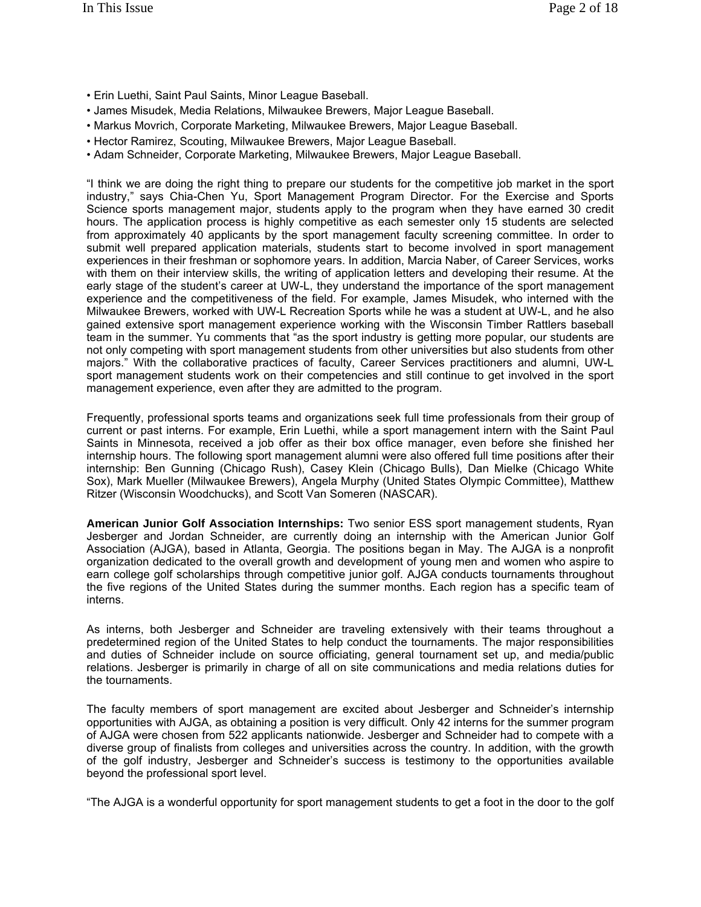- Erin Luethi, Saint Paul Saints, Minor League Baseball.
- James Misudek, Media Relations, Milwaukee Brewers, Major League Baseball.
- Markus Movrich, Corporate Marketing, Milwaukee Brewers, Major League Baseball.
- 
- Hector Ramirez, Scouting, Milwaukee Brewers, Major League Baseball. Adam Schneider, Corporate Marketing, Milwaukee Brewers, Major League Baseball.

"I think we are doing the right thing to prepare our students for the competitive job market in the sport industry," says Chia-Chen Yu, Sport Management Program Director. For the Exercise and Sports Science sports management major, students apply to the program when they have earned 30 credit hours. The application process is highly competitive as each semester only 15 students are selected from approximately 40 applicants by the sport management faculty screening committee. In order to submit well prepared application materials, students start to become involved in sport management experiences in their freshman or sophomore years. In addition, Marcia Naber, of Career Services, works with them on their interview skills, the writing of application letters and developing their resume. At the early stage of the student's career at UW-L, they understand the importance of the sport management experience and the competitiveness of the field. For example, James Misudek, who interned with the Milwaukee Brewers, worked with UW-L Recreation Sports while he was a student at UW-L, and he also gained extensive sport management experience working with the Wisconsin Timber Rattlers baseball team in the summer. Yu comments that "as the sport industry is getting more popular, our students are not only competing with sport management students from other universities but also students from other majors." With the collaborative practices of faculty, Career Services practitioners and alumni, UW-L sport management students work on their competencies and still continue to get involved in the sport management experience, even after they are admitted to the program.

Frequently, professional sports teams and organizations seek full time professionals from their group of current or past interns. For example, Erin Luethi, while a sport management intern with the Saint Paul Saints in Minnesota, received a job offer as their box office manager, even before she finished her internship hours. The following sport management alumni were also offered full time positions after their internship: Ben Gunning (Chicago Rush), Casey Klein (Chicago Bulls), Dan Mielke (Chicago White Sox), Mark Mueller (Milwaukee Brewers), Angela Murphy (United States Olympic Committee), Matthew Ritzer (Wisconsin Woodchucks), and Scott Van Someren (NASCAR).

**American Junior Golf Association Internships:** Two senior ESS sport management students, Ryan Jesberger and Jordan Schneider, are currently doing an internship with the American Junior Golf Association (AJGA), based in Atlanta, Georgia. The positions began in May. The AJGA is a nonprofit organization dedicated to the overall growth and development of young men and women who aspire to earn college golf scholarships through competitive junior golf. AJGA conducts tournaments throughout the five regions of the United States during the summer months. Each region has a specific team of interns.

As interns, both Jesberger and Schneider are traveling extensively with their teams throughout a predetermined region of the United States to help conduct the tournaments. The major responsibilities and duties of Schneider include on source officiating, general tournament set up, and media/public relations. Jesberger is primarily in charge of all on site communications and media relations duties for the tournaments.

The faculty members of sport management are excited about Jesberger and Schneider's internship opportunities with AJGA, as obtaining a position is very difficult. Only 42 interns for the summer program of AJGA were chosen from 522 applicants nationwide. Jesberger and Schneider had to compete with a diverse group of finalists from colleges and universities across the country. In addition, with the growth of the golf industry, Jesberger and Schneider's success is testimony to the opportunities available beyond the professional sport level.

"The AJGA is a wonderful opportunity for sport management students to get a foot in the door to the golf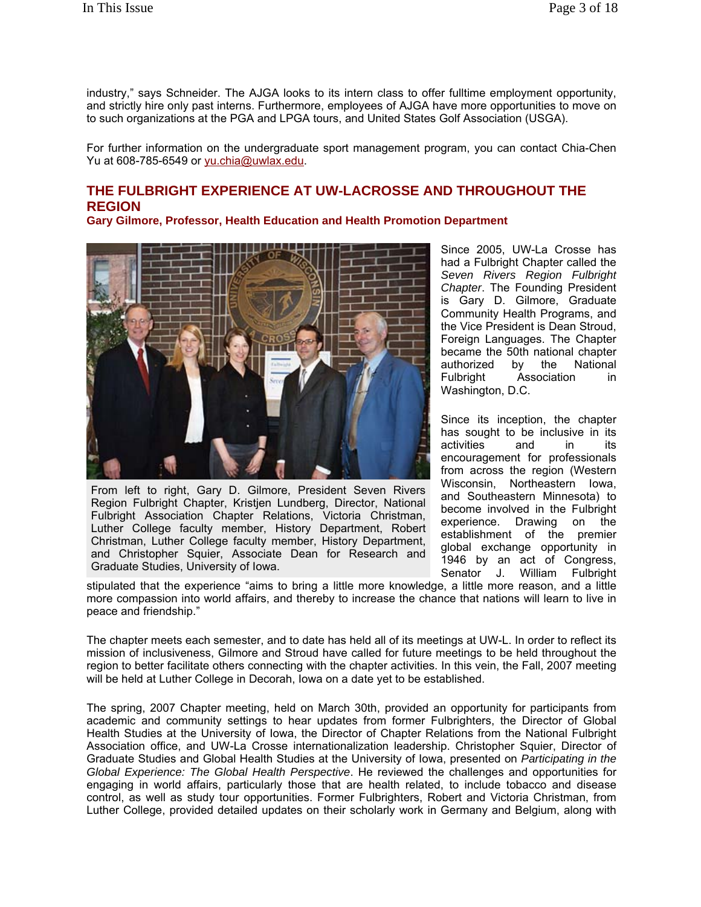industry," says Schneider. The AJGA looks to its intern class to offer fulltime employment opportunity, and strictly hire only past interns. Furthermore, employees of AJGA have more opportunities to move on to such organizations at the PGA and LPGA tours, and United States Golf Association (USGA).

For further information on the undergraduate sport management program, you can contact Chia-Chen Yu at 608-785-6549 or yu.chia@uwlax.edu.

# **THE FULBRIGHT EXPERIENCE AT UW-LACROSSE AND THROUGHOUT THE REGION**

**Gary Gilmore, Professor, Health Education and Health Promotion Department**



From left to right, Gary D. Gilmore, President Seven Rivers Region Fulbright Chapter, Kristjen Lundberg, Director, National Fulbright Association Chapter Relations, Victoria Christman, Luther College faculty member, History Department, Robert Christman, Luther College faculty member, History Department, and Christopher Squier, Associate Dean for Research and Graduate Studies, University of Iowa.

Since 2005, UW-La Crosse has had a Fulbright Chapter called the *Seven Rivers Region Fulbright Chapter*. The Founding President is Gary D. Gilmore, Graduate Community Health Programs, and the Vice President is Dean Stroud, Foreign Languages. The Chapter became the 50th national chapter authorized by the National Fulbright Association in Washington, D.C.

Since its inception, the chapter has sought to be inclusive in its activities and in its encouragement for professionals from across the region (Western Wisconsin, Northeastern Iowa, and Southeastern Minnesota) to become involved in the Fulbright experience. Drawing on the establishment of the premier global exchange opportunity in 1946 by an act of Congress, Senator J. William Fulbright

stipulated that the experience "aims to bring a little more knowledge, a little more reason, and a little more compassion into world affairs, and thereby to increase the chance that nations will learn to live in peace and friendship."

The chapter meets each semester, and to date has held all of its meetings at UW-L. In order to reflect its mission of inclusiveness, Gilmore and Stroud have called for future meetings to be held throughout the region to better facilitate others connecting with the chapter activities. In this vein, the Fall, 2007 meeting will be held at Luther College in Decorah, Iowa on a date yet to be established.

The spring, 2007 Chapter meeting, held on March 30th, provided an opportunity for participants from academic and community settings to hear updates from former Fulbrighters, the Director of Global Health Studies at the University of Iowa, the Director of Chapter Relations from the National Fulbright Association office, and UW-La Crosse internationalization leadership. Christopher Squier, Director of Graduate Studies and Global Health Studies at the University of Iowa, presented on *Participating in the Global Experience: The Global Health Perspective*. He reviewed the challenges and opportunities for engaging in world affairs, particularly those that are health related, to include tobacco and disease control, as well as study tour opportunities. Former Fulbrighters, Robert and Victoria Christman, from Luther College, provided detailed updates on their scholarly work in Germany and Belgium, along with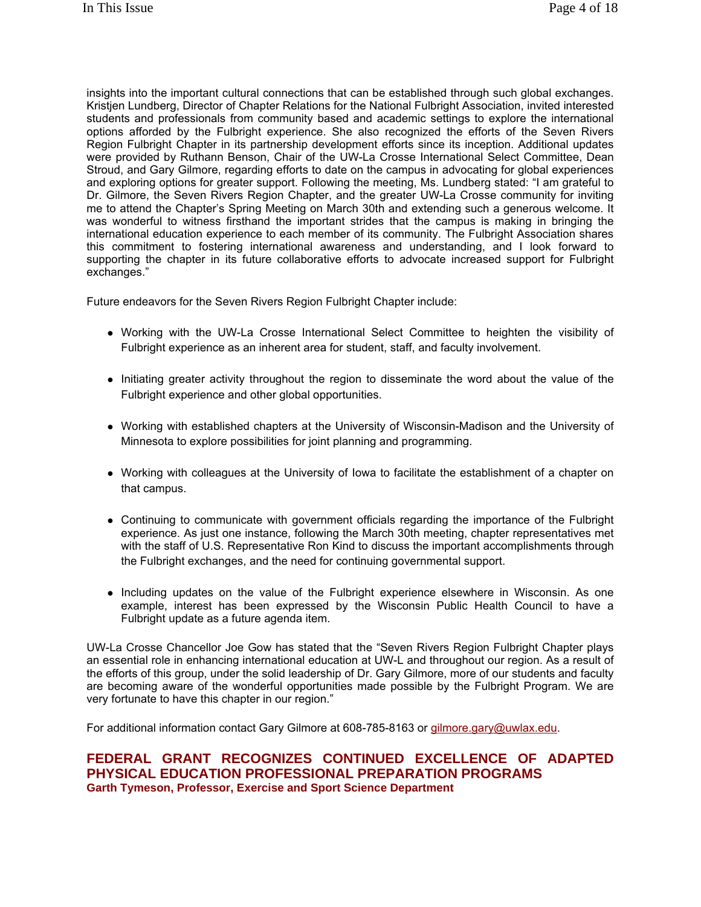insights into the important cultural connections that can be established through such global exchanges. Kristjen Lundberg, Director of Chapter Relations for the National Fulbright Association, invited interested students and professionals from community based and academic settings to explore the international options afforded by the Fulbright experience. She also recognized the efforts of the Seven Rivers Region Fulbright Chapter in its partnership development efforts since its inception. Additional updates were provided by Ruthann Benson, Chair of the UW-La Crosse International Select Committee, Dean Stroud, and Gary Gilmore, regarding efforts to date on the campus in advocating for global experiences and exploring options for greater support. Following the meeting, Ms. Lundberg stated: "I am grateful to Dr. Gilmore, the Seven Rivers Region Chapter, and the greater UW-La Crosse community for inviting me to attend the Chapter's Spring Meeting on March 30th and extending such a generous welcome. It was wonderful to witness firsthand the important strides that the campus is making in bringing the international education experience to each member of its community. The Fulbright Association shares this commitment to fostering international awareness and understanding, and I look forward to supporting the chapter in its future collaborative efforts to advocate increased support for Fulbright exchanges."

Future endeavors for the Seven Rivers Region Fulbright Chapter include:

- Working with the UW-La Crosse International Select Committee to heighten the visibility of Fulbright experience as an inherent area for student, staff, and faculty involvement.
- Initiating greater activity throughout the region to disseminate the word about the value of the Fulbright experience and other global opportunities.
- Working with established chapters at the University of Wisconsin-Madison and the University of Minnesota to explore possibilities for joint planning and programming.
- Working with colleagues at the University of Iowa to facilitate the establishment of a chapter on that campus.
- Continuing to communicate with government officials regarding the importance of the Fulbright experience. As just one instance, following the March 30th meeting, chapter representatives met with the staff of U.S. Representative Ron Kind to discuss the important accomplishments through the Fulbright exchanges, and the need for continuing governmental support.
- Including updates on the value of the Fulbright experience elsewhere in Wisconsin. As one example, interest has been expressed by the Wisconsin Public Health Council to have a Fulbright update as a future agenda item.

UW-La Crosse Chancellor Joe Gow has stated that the "Seven Rivers Region Fulbright Chapter plays an essential role in enhancing international education at UW-L and throughout our region. As a result of the efforts of this group, under the solid leadership of Dr. Gary Gilmore, more of our students and faculty are becoming aware of the wonderful opportunities made possible by the Fulbright Program. We are very fortunate to have this chapter in our region."

For additional information contact Gary Gilmore at 608-785-8163 or gilmore.gary@uwlax.edu.

### **FEDERAL GRANT RECOGNIZES CONTINUED EXCELLENCE OF ADAPTED PHYSICAL EDUCATION PROFESSIONAL PREPARATION PROGRAMS Garth Tymeson, Professor, Exercise and Sport Science Department**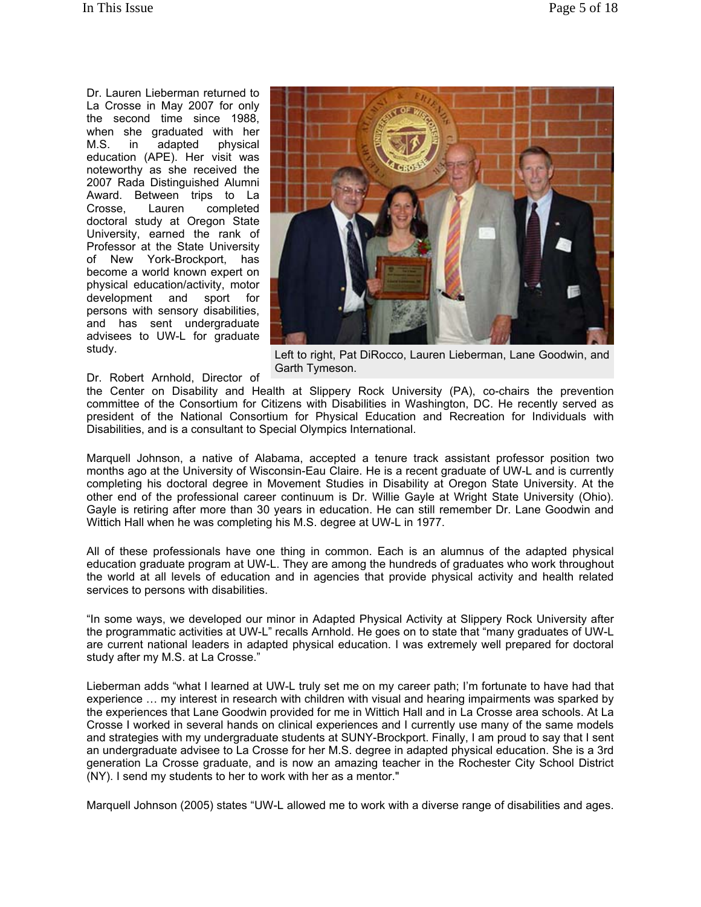Dr. Lauren Lieberman returned to La Crosse in May 2007 for only the second time since 1988, when she graduated with her M.S. in adapted physical education (APE). Her visit was noteworthy as she received the 2007 Rada Distinguished Alumni Award. Between trips to La Crosse, Lauren completed doctoral study at Oregon State University, earned the rank of Professor at the State University of New York-Brockport, has become a world known expert on physical education/activity, motor development and sport for persons with sensory disabilities, and has sent undergraduate advisees to UW-L for graduate study.



Left to right, Pat DiRocco, Lauren Lieberman, Lane Goodwin, and Garth Tymeson.

#### Dr. Robert Arnhold, Director of

the Center on Disability and Health at Slippery Rock University (PA), co-chairs the prevention committee of the Consortium for Citizens with Disabilities in Washington, DC. He recently served as president of the National Consortium for Physical Education and Recreation for Individuals with Disabilities, and is a consultant to Special Olympics International.

Marquell Johnson, a native of Alabama, accepted a tenure track assistant professor position two months ago at the University of Wisconsin-Eau Claire. He is a recent graduate of UW-L and is currently completing his doctoral degree in Movement Studies in Disability at Oregon State University. At the other end of the professional career continuum is Dr. Willie Gayle at Wright State University (Ohio). Gayle is retiring after more than 30 years in education. He can still remember Dr. Lane Goodwin and Wittich Hall when he was completing his M.S. degree at UW-L in 1977.

All of these professionals have one thing in common. Each is an alumnus of the adapted physical education graduate program at UW-L. They are among the hundreds of graduates who work throughout the world at all levels of education and in agencies that provide physical activity and health related services to persons with disabilities.

"In some ways, we developed our minor in Adapted Physical Activity at Slippery Rock University after the programmatic activities at UW-L" recalls Arnhold. He goes on to state that "many graduates of UW-L are current national leaders in adapted physical education. I was extremely well prepared for doctoral study after my M.S. at La Crosse."

Lieberman adds "what I learned at UW-L truly set me on my career path; I'm fortunate to have had that experience … my interest in research with children with visual and hearing impairments was sparked by the experiences that Lane Goodwin provided for me in Wittich Hall and in La Crosse area schools. At La Crosse I worked in several hands on clinical experiences and I currently use many of the same models and strategies with my undergraduate students at SUNY-Brockport. Finally, I am proud to say that I sent an undergraduate advisee to La Crosse for her M.S. degree in adapted physical education. She is a 3rd generation La Crosse graduate, and is now an amazing teacher in the Rochester City School District (NY). I send my students to her to work with her as a mentor."

Marquell Johnson (2005) states "UW-L allowed me to work with a diverse range of disabilities and ages.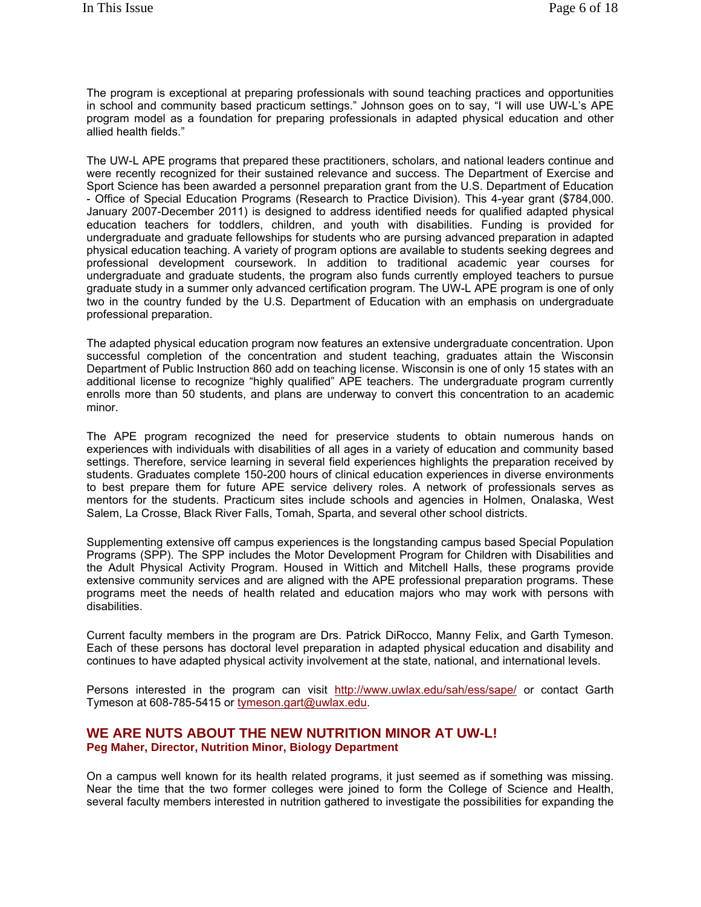The program is exceptional at preparing professionals with sound teaching practices and opportunities in school and community based practicum settings." Johnson goes on to say, "I will use UW-L's APE program model as a foundation for preparing professionals in adapted physical education and other allied health fields."

The UW-L APE programs that prepared these practitioners, scholars, and national leaders continue and were recently recognized for their sustained relevance and success. The Department of Exercise and Sport Science has been awarded a personnel preparation grant from the U.S. Department of Education - Office of Special Education Programs (Research to Practice Division). This 4-year grant (\$784,000. January 2007-December 2011) is designed to address identified needs for qualified adapted physical education teachers for toddlers, children, and youth with disabilities. Funding is provided for undergraduate and graduate fellowships for students who are pursing advanced preparation in adapted physical education teaching. A variety of program options are available to students seeking degrees and professional development coursework. In addition to traditional academic year courses for undergraduate and graduate students, the program also funds currently employed teachers to pursue graduate study in a summer only advanced certification program. The UW-L APE program is one of only two in the country funded by the U.S. Department of Education with an emphasis on undergraduate professional preparation.

The adapted physical education program now features an extensive undergraduate concentration. Upon successful completion of the concentration and student teaching, graduates attain the Wisconsin Department of Public Instruction 860 add on teaching license. Wisconsin is one of only 15 states with an additional license to recognize "highly qualified" APE teachers. The undergraduate program currently enrolls more than 50 students, and plans are underway to convert this concentration to an academic minor.

The APE program recognized the need for preservice students to obtain numerous hands on experiences with individuals with disabilities of all ages in a variety of education and community based settings. Therefore, service learning in several field experiences highlights the preparation received by students. Graduates complete 150-200 hours of clinical education experiences in diverse environments to best prepare them for future APE service delivery roles. A network of professionals serves as mentors for the students. Practicum sites include schools and agencies in Holmen, Onalaska, West Salem, La Crosse, Black River Falls, Tomah, Sparta, and several other school districts.

Supplementing extensive off campus experiences is the longstanding campus based Special Population Programs (SPP). The SPP includes the Motor Development Program for Children with Disabilities and the Adult Physical Activity Program. Housed in Wittich and Mitchell Halls, these programs provide extensive community services and are aligned with the APE professional preparation programs. These programs meet the needs of health related and education majors who may work with persons with disabilities.

Current faculty members in the program are Drs. Patrick DiRocco, Manny Felix, and Garth Tymeson. Each of these persons has doctoral level preparation in adapted physical education and disability and continues to have adapted physical activity involvement at the state, national, and international levels.

Persons interested in the program can visit http://www.uwlax.edu/sah/ess/sape/ or contact Garth Tymeson at 608-785-5415 or tymeson.gart@uwlax.edu.

### **WE ARE NUTS ABOUT THE NEW NUTRITION MINOR AT UW-L! Peg Maher, Director, Nutrition Minor, Biology Department**

On a campus well known for its health related programs, it just seemed as if something was missing. Near the time that the two former colleges were joined to form the College of Science and Health, several faculty members interested in nutrition gathered to investigate the possibilities for expanding the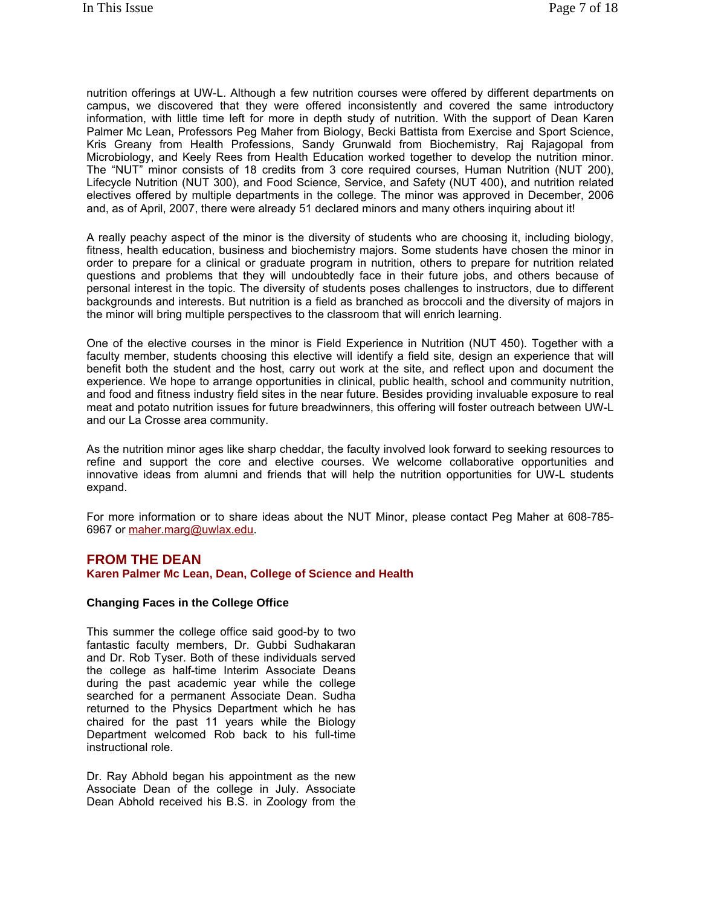nutrition offerings at UW-L. Although a few nutrition courses were offered by different departments on campus, we discovered that they were offered inconsistently and covered the same introductory information, with little time left for more in depth study of nutrition. With the support of Dean Karen Palmer Mc Lean, Professors Peg Maher from Biology, Becki Battista from Exercise and Sport Science, Kris Greany from Health Professions, Sandy Grunwald from Biochemistry, Raj Rajagopal from Microbiology, and Keely Rees from Health Education worked together to develop the nutrition minor. The "NUT" minor consists of 18 credits from 3 core required courses, Human Nutrition (NUT 200), Lifecycle Nutrition (NUT 300), and Food Science, Service, and Safety (NUT 400), and nutrition related electives offered by multiple departments in the college. The minor was approved in December, 2006 and, as of April, 2007, there were already 51 declared minors and many others inquiring about it!

A really peachy aspect of the minor is the diversity of students who are choosing it, including biology, fitness, health education, business and biochemistry majors. Some students have chosen the minor in order to prepare for a clinical or graduate program in nutrition, others to prepare for nutrition related questions and problems that they will undoubtedly face in their future jobs, and others because of personal interest in the topic. The diversity of students poses challenges to instructors, due to different backgrounds and interests. But nutrition is a field as branched as broccoli and the diversity of majors in the minor will bring multiple perspectives to the classroom that will enrich learning.

One of the elective courses in the minor is Field Experience in Nutrition (NUT 450). Together with a faculty member, students choosing this elective will identify a field site, design an experience that will benefit both the student and the host, carry out work at the site, and reflect upon and document the experience. We hope to arrange opportunities in clinical, public health, school and community nutrition, and food and fitness industry field sites in the near future. Besides providing invaluable exposure to real meat and potato nutrition issues for future breadwinners, this offering will foster outreach between UW-L and our La Crosse area community.

As the nutrition minor ages like sharp cheddar, the faculty involved look forward to seeking resources to refine and support the core and elective courses. We welcome collaborative opportunities and innovative ideas from alumni and friends that will help the nutrition opportunities for UW-L students expand.

For more information or to share ideas about the NUT Minor, please contact Peg Maher at 608-785- 6967 or maher.marg@uwlax.edu.

### **FROM THE DEAN**

**Karen Palmer Mc Lean, Dean, College of Science and Health**

#### **Changing Faces in the College Office**

This summer the college office said good-by to two fantastic faculty members, Dr. Gubbi Sudhakaran and Dr. Rob Tyser. Both of these individuals served the college as half-time Interim Associate Deans during the past academic year while the college searched for a permanent Associate Dean. Sudha returned to the Physics Department which he has chaired for the past 11 years while the Biology Department welcomed Rob back to his full-time instructional role.

Dr. Ray Abhold began his appointment as the new Associate Dean of the college in July. Associate Dean Abhold received his B.S. in Zoology from the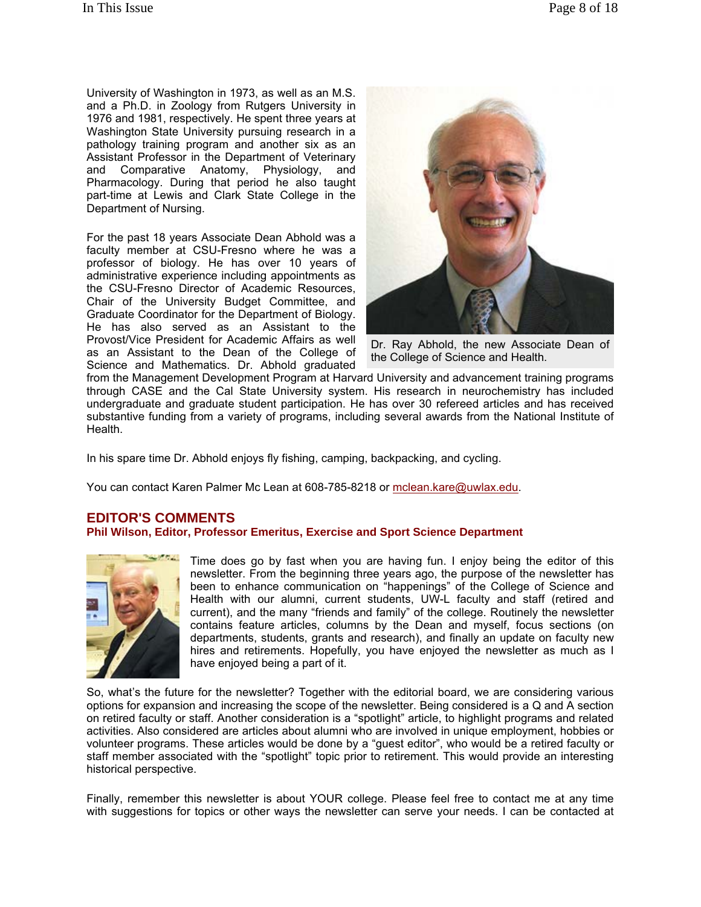University of Washington in 1973, as well as an M.S. and a Ph.D. in Zoology from Rutgers University in 1976 and 1981, respectively. He spent three years at Washington State University pursuing research in a pathology training program and another six as an Assistant Professor in the Department of Veterinary and Comparative Anatomy, Physiology, and Pharmacology. During that period he also taught part-time at Lewis and Clark State College in the Department of Nursing.

For the past 18 years Associate Dean Abhold was a faculty member at CSU-Fresno where he was a professor of biology. He has over 10 years of administrative experience including appointments as the CSU-Fresno Director of Academic Resources, Chair of the University Budget Committee, and Graduate Coordinator for the Department of Biology. He has also served as an Assistant to the Provost/Vice President for Academic Affairs as well as an Assistant to the Dean of the College of Science and Mathematics. Dr. Abhold graduated



Dr. Ray Abhold, the new Associate Dean of the College of Science and Health.

from the Management Development Program at Harvard University and advancement training programs through CASE and the Cal State University system. His research in neurochemistry has included undergraduate and graduate student participation. He has over 30 refereed articles and has received substantive funding from a variety of programs, including several awards from the National Institute of Health.

In his spare time Dr. Abhold enjoys fly fishing, camping, backpacking, and cycling.

You can contact Karen Palmer Mc Lean at 608-785-8218 or mclean.kare@uwlax.edu.

### **EDITOR'S COMMENTS**

**Phil Wilson, Editor, Professor Emeritus, Exercise and Sport Science Department** 



Time does go by fast when you are having fun. I enjoy being the editor of this newsletter. From the beginning three years ago, the purpose of the newsletter has been to enhance communication on "happenings" of the College of Science and Health with our alumni, current students, UW-L faculty and staff (retired and current), and the many "friends and family" of the college. Routinely the newsletter contains feature articles, columns by the Dean and myself, focus sections (on departments, students, grants and research), and finally an update on faculty new hires and retirements. Hopefully, you have enjoyed the newsletter as much as I have enjoyed being a part of it.

So, what's the future for the newsletter? Together with the editorial board, we are considering various options for expansion and increasing the scope of the newsletter. Being considered is a Q and A section on retired faculty or staff. Another consideration is a "spotlight" article, to highlight programs and related activities. Also considered are articles about alumni who are involved in unique employment, hobbies or volunteer programs. These articles would be done by a "guest editor", who would be a retired faculty or staff member associated with the "spotlight" topic prior to retirement. This would provide an interesting historical perspective.

Finally, remember this newsletter is about YOUR college. Please feel free to contact me at any time with suggestions for topics or other ways the newsletter can serve your needs. I can be contacted at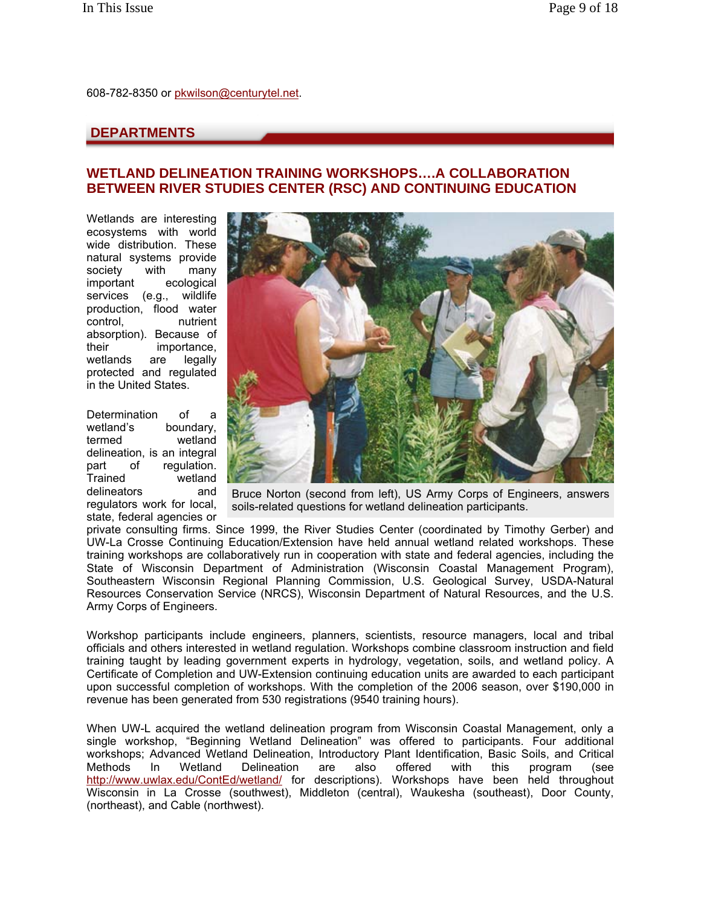608-782-8350 or pkwilson@centurytel.net.

## **DEPARTMENTS**

## **WETLAND DELINEATION TRAINING WORKSHOPS….A COLLABORATION BETWEEN RIVER STUDIES CENTER (RSC) AND CONTINUING EDUCATION**

Wetlands are interesting ecosystems with world wide distribution. These natural systems provide society with many important ecological services (e.g., wildlife production, flood water control, nutrient absorption). Because of their importance, wetlands are legally protected and regulated in the United States.

Determination of a wetland's boundary, termed wetland delineation, is an integral part of regulation. Trained wetland delineators and regulators work for local, state, federal agencies or



Bruce Norton (second from left), US Army Corps of Engineers, answers soils-related questions for wetland delineation participants.

private consulting firms. Since 1999, the River Studies Center (coordinated by Timothy Gerber) and UW-La Crosse Continuing Education/Extension have held annual wetland related workshops. These training workshops are collaboratively run in cooperation with state and federal agencies, including the State of Wisconsin Department of Administration (Wisconsin Coastal Management Program), Southeastern Wisconsin Regional Planning Commission, U.S. Geological Survey, USDA-Natural Resources Conservation Service (NRCS), Wisconsin Department of Natural Resources, and the U.S. Army Corps of Engineers.

Workshop participants include engineers, planners, scientists, resource managers, local and tribal officials and others interested in wetland regulation. Workshops combine classroom instruction and field training taught by leading government experts in hydrology, vegetation, soils, and wetland policy. A Certificate of Completion and UW-Extension continuing education units are awarded to each participant upon successful completion of workshops. With the completion of the 2006 season, over \$190,000 in revenue has been generated from 530 registrations (9540 training hours).

When UW-L acquired the wetland delineation program from Wisconsin Coastal Management, only a single workshop, "Beginning Wetland Delineation" was offered to participants. Four additional workshops; Advanced Wetland Delineation, Introductory Plant Identification, Basic Soils, and Critical Methods In Wetland Delineation are also offered with this program (see http://www.uwlax.edu/ContEd/wetland/ for descriptions). Workshops have been held throughout Wisconsin in La Crosse (southwest), Middleton (central), Waukesha (southeast), Door County, (northeast), and Cable (northwest).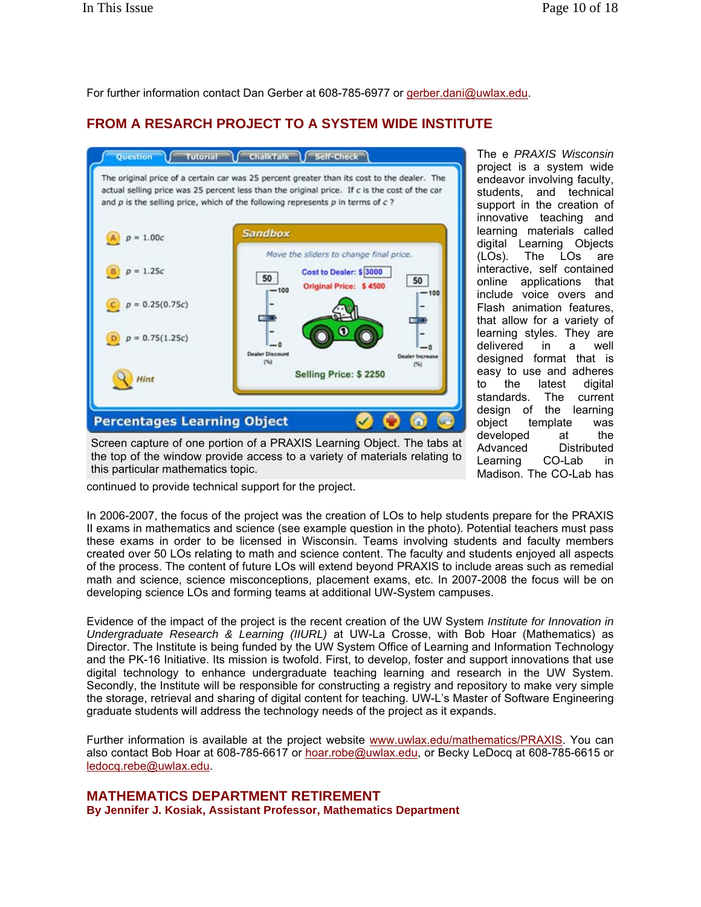For further information contact Dan Gerber at 608-785-6977 or gerber.dani@uwlax.edu.

# **FROM A RESARCH PROJECT TO A SYSTEM WIDE INSTITUTE**



students, and technical support in the creation of innovative teaching and learning materials called digital Learning Objects (LOs). The LOs are interactive, self contained online applications that include voice overs and Flash animation features, that allow for a variety of learning styles. They are delivered in a well designed format that is easy to use and adheres to the latest digital standards. The current design of the learning object template was developed at the<br>Advanced Distributed Advanced Learning CO-Lab in Madison. The CO-Lab has

The e *PRAXIS Wisconsin* project is a system wide endeavor involving faculty,

Screen capture of one portion of a PRAXIS Learning Object. The tabs at the top of the window provide access to a variety of materials relating to this particular mathematics topic.

continued to provide technical support for the project.

In 2006-2007, the focus of the project was the creation of LOs to help students prepare for the PRAXIS II exams in mathematics and science (see example question in the photo). Potential teachers must pass these exams in order to be licensed in Wisconsin. Teams involving students and faculty members created over 50 LOs relating to math and science content. The faculty and students enjoyed all aspects of the process. The content of future LOs will extend beyond PRAXIS to include areas such as remedial math and science, science misconceptions, placement exams, etc. In 2007-2008 the focus will be on developing science LOs and forming teams at additional UW-System campuses.

Evidence of the impact of the project is the recent creation of the UW System *Institute for Innovation in Undergraduate Research & Learning (IIURL)* at UW-La Crosse, with Bob Hoar (Mathematics) as Director. The Institute is being funded by the UW System Office of Learning and Information Technology and the PK-16 Initiative. Its mission is twofold. First, to develop, foster and support innovations that use digital technology to enhance undergraduate teaching learning and research in the UW System. Secondly, the Institute will be responsible for constructing a registry and repository to make very simple the storage, retrieval and sharing of digital content for teaching. UW-L's Master of Software Engineering graduate students will address the technology needs of the project as it expands.

Further information is available at the project website www.uwlax.edu/mathematics/PRAXIS. You can also contact Bob Hoar at 608-785-6617 or hoar.robe@uwlax.edu, or Becky LeDocq at 608-785-6615 or ledocq.rebe@uwlax.edu.

**MATHEMATICS DEPARTMENT RETIREMENT**

**By Jennifer J. Kosiak, Assistant Professor, Mathematics Department**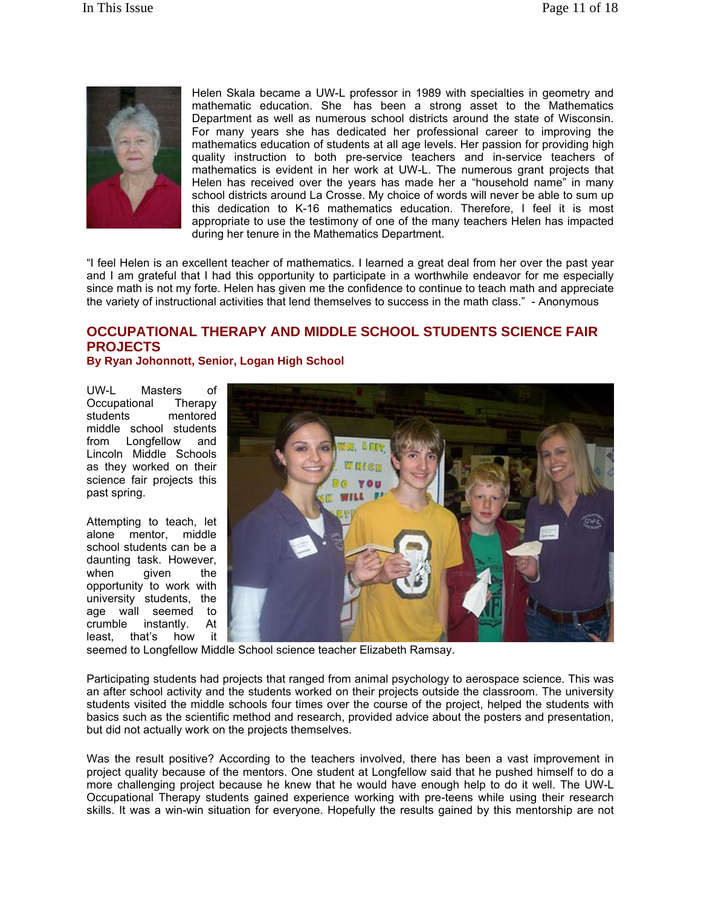

Helen Skala became a UW-L professor in 1989 with specialties in geometry and mathematic education. She has been a strong asset to the Mathematics Department as well as numerous school districts around the state of Wisconsin. For many years she has dedicated her professional career to improving the mathematics education of students at all age levels. Her passion for providing high quality instruction to both pre-service teachers and in-service teachers of mathematics is evident in her work at UW-L. The numerous grant projects that Helen has received over the years has made her a "household name" in many school districts around La Crosse. My choice of words will never be able to sum up this dedication to K-16 mathematics education. Therefore, I feel it is most appropriate to use the testimony of one of the many teachers Helen has impacted during her tenure in the Mathematics Department.

"I feel Helen is an excellent teacher of mathematics. I learned a great deal from her over the past year and I am grateful that I had this opportunity to participate in a worthwhile endeavor for me especially since math is not my forte. Helen has given me the confidence to continue to teach math and appreciate the variety of instructional activities that lend themselves to success in the math class." - Anonymous

## **OCCUPATIONAL THERAPY AND MIDDLE SCHOOL STUDENTS SCIENCE FAIR PROJECTS**

**By Ryan Johonnott, Senior, Logan High School**

UW-L Masters of Occupational Therapy<br>students mentored mentored middle school students from Longfellow and Lincoln Middle Schools as they worked on their science fair projects this past spring.

Attempting to teach, let alone mentor, middle school students can be a daunting task. However, when given the opportunity to work with university students, the age wall seemed to crumble instantly. At least, that's how it



seemed to Longfellow Middle School science teacher Elizabeth Ramsay.

Participating students had projects that ranged from animal psychology to aerospace science. This was an after school activity and the students worked on their projects outside the classroom. The university students visited the middle schools four times over the course of the project, helped the students with basics such as the scientific method and research, provided advice about the posters and presentation, but did not actually work on the projects themselves.

Was the result positive? According to the teachers involved, there has been a vast improvement in project quality because of the mentors. One student at Longfellow said that he pushed himself to do a more challenging project because he knew that he would have enough help to do it well. The UW-L Occupational Therapy students gained experience working with pre-teens while using their research skills. It was a win-win situation for everyone. Hopefully the results gained by this mentorship are not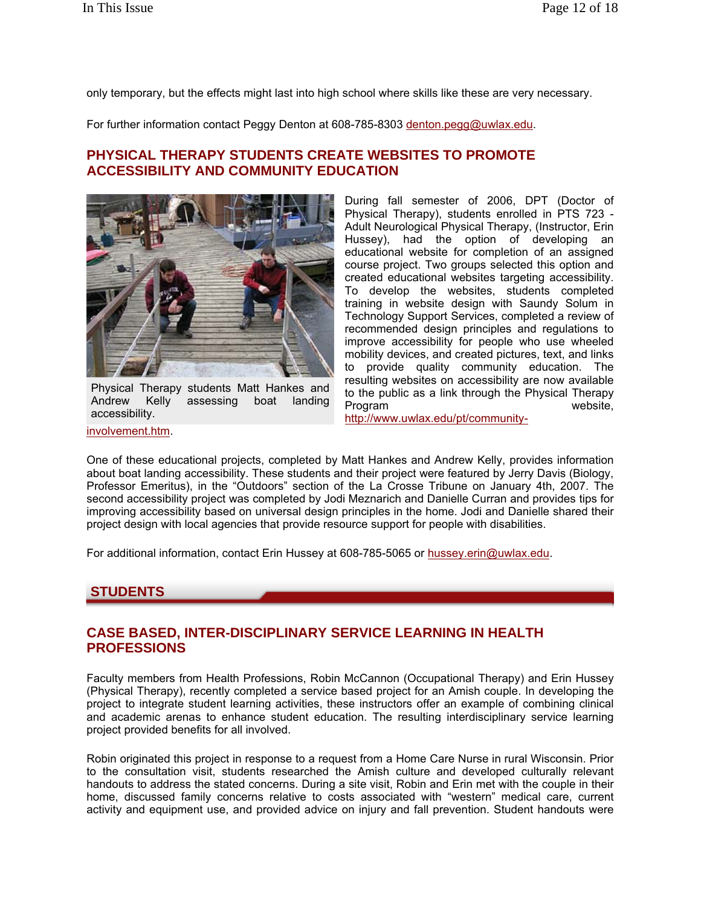only temporary, but the effects might last into high school where skills like these are very necessary.

For further information contact Peggy Denton at 608-785-8303 denton.pegg@uwlax.edu.

## **PHYSICAL THERAPY STUDENTS CREATE WEBSITES TO PROMOTE ACCESSIBILITY AND COMMUNITY EDUCATION**



Physical Therapy students Matt Hankes and Andrew Kelly assessing boat landing accessibility.

During fall semester of 2006, DPT (Doctor of Physical Therapy), students enrolled in PTS 723 - Adult Neurological Physical Therapy, (Instructor, Erin Hussey), had the option of developing an educational website for completion of an assigned course project. Two groups selected this option and created educational websites targeting accessibility. To develop the websites, students completed training in website design with Saundy Solum in Technology Support Services, completed a review of recommended design principles and regulations to improve accessibility for people who use wheeled mobility devices, and created pictures, text, and links to provide quality community education. The resulting websites on accessibility are now available to the public as a link through the Physical Therapy Program website.

involvement.htm.

http://www.uwlax.edu/pt/community-

One of these educational projects, completed by Matt Hankes and Andrew Kelly, provides information about boat landing accessibility. These students and their project were featured by Jerry Davis (Biology, Professor Emeritus), in the "Outdoors" section of the La Crosse Tribune on January 4th, 2007. The second accessibility project was completed by Jodi Meznarich and Danielle Curran and provides tips for improving accessibility based on universal design principles in the home. Jodi and Danielle shared their project design with local agencies that provide resource support for people with disabilities.

For additional information, contact Erin Hussey at 608-785-5065 or hussey.erin@uwlax.edu.

### **STUDENTS**

## **CASE BASED, INTER-DISCIPLINARY SERVICE LEARNING IN HEALTH PROFESSIONS**

Faculty members from Health Professions, Robin McCannon (Occupational Therapy) and Erin Hussey (Physical Therapy), recently completed a service based project for an Amish couple. In developing the project to integrate student learning activities, these instructors offer an example of combining clinical and academic arenas to enhance student education. The resulting interdisciplinary service learning project provided benefits for all involved.

Robin originated this project in response to a request from a Home Care Nurse in rural Wisconsin. Prior to the consultation visit, students researched the Amish culture and developed culturally relevant handouts to address the stated concerns. During a site visit, Robin and Erin met with the couple in their home, discussed family concerns relative to costs associated with "western" medical care, current activity and equipment use, and provided advice on injury and fall prevention. Student handouts were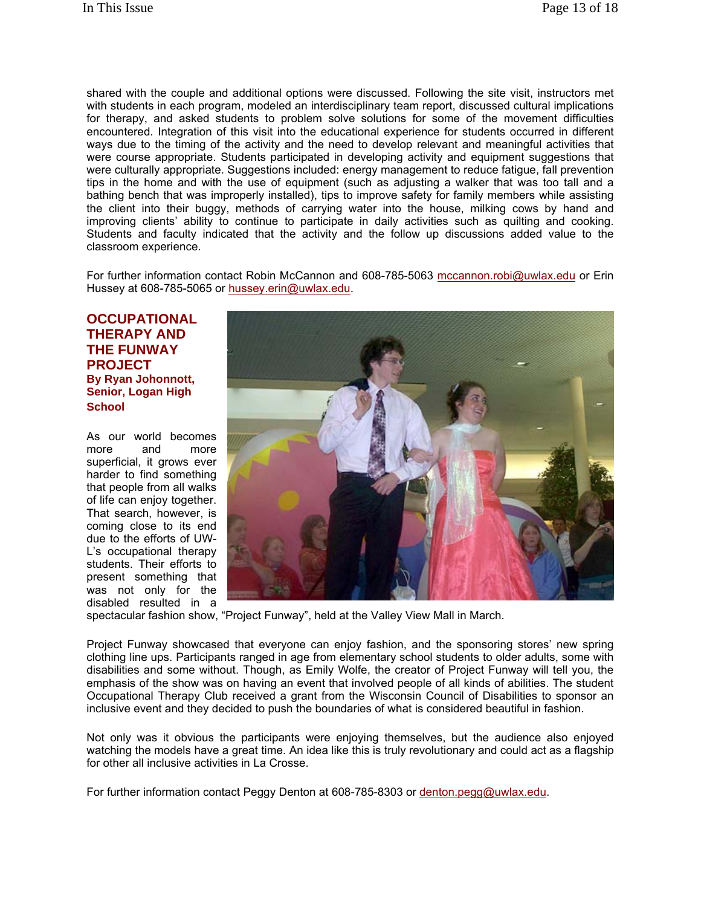shared with the couple and additional options were discussed. Following the site visit, instructors met with students in each program, modeled an interdisciplinary team report, discussed cultural implications for therapy, and asked students to problem solve solutions for some of the movement difficulties encountered. Integration of this visit into the educational experience for students occurred in different ways due to the timing of the activity and the need to develop relevant and meaningful activities that were course appropriate. Students participated in developing activity and equipment suggestions that were culturally appropriate. Suggestions included: energy management to reduce fatigue, fall prevention tips in the home and with the use of equipment (such as adjusting a walker that was too tall and a bathing bench that was improperly installed), tips to improve safety for family members while assisting the client into their buggy, methods of carrying water into the house, milking cows by hand and improving clients' ability to continue to participate in daily activities such as quilting and cooking. Students and faculty indicated that the activity and the follow up discussions added value to the classroom experience.

For further information contact Robin McCannon and 608-785-5063 mccannon.robi@uwlax.edu or Erin Hussey at 608-785-5065 or hussey.erin@uwlax.edu.

**OCCUPATIONAL THERAPY AND THE FUNWAY PROJECT By Ryan Johonnott, Senior, Logan High School**

As our world becomes more and more superficial, it grows ever harder to find something that people from all walks of life can enjoy together. That search, however, is coming close to its end due to the efforts of UW-L's occupational therapy students. Their efforts to present something that was not only for the disabled resulted in a



spectacular fashion show, "Project Funway", held at the Valley View Mall in March.

Project Funway showcased that everyone can enjoy fashion, and the sponsoring stores' new spring clothing line ups. Participants ranged in age from elementary school students to older adults, some with disabilities and some without. Though, as Emily Wolfe, the creator of Project Funway will tell you, the emphasis of the show was on having an event that involved people of all kinds of abilities. The student Occupational Therapy Club received a grant from the Wisconsin Council of Disabilities to sponsor an inclusive event and they decided to push the boundaries of what is considered beautiful in fashion.

Not only was it obvious the participants were enjoying themselves, but the audience also enjoyed watching the models have a great time. An idea like this is truly revolutionary and could act as a flagship for other all inclusive activities in La Crosse.

For further information contact Peggy Denton at 608-785-8303 or denton.pegg@uwlax.edu.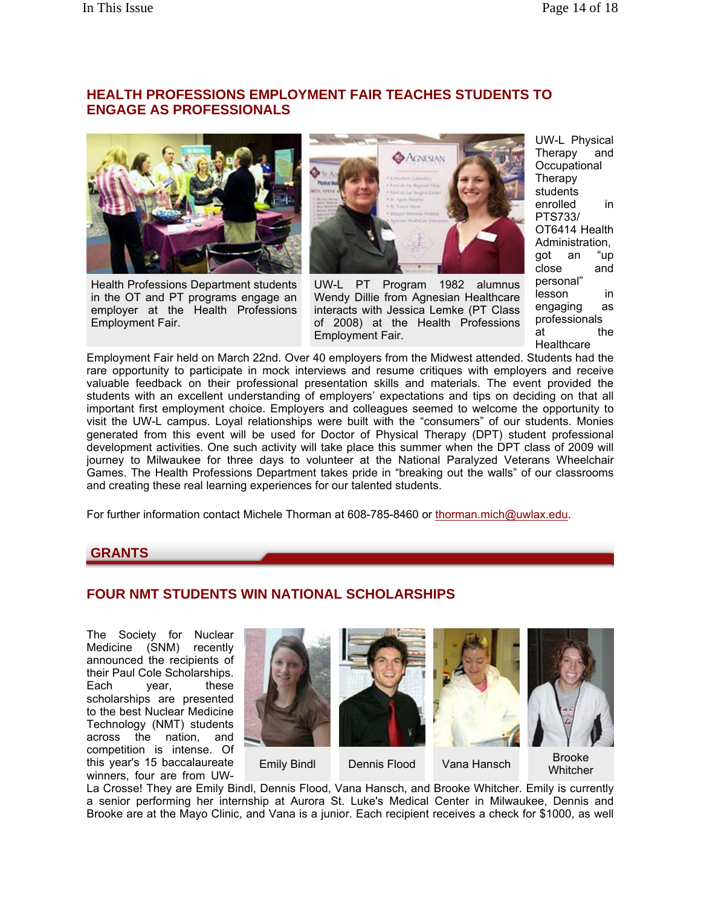## **HEALTH PROFESSIONS EMPLOYMENT FAIR TEACHES STUDENTS TO ENGAGE AS PROFESSIONALS**



Health Professions Department students in the OT and PT programs engage an employer at the Health Professions Employment Fair.



UW-L PT Program 1982 alumnus Wendy Dillie from Agnesian Healthcare interacts with Jessica Lemke (PT Class of 2008) at the Health Professions Employment Fair.

UW-L Physical Therapy and **Occupational Therapy** students enrolled in PTS733/ OT6414 Health Administration, got an "up close and personal" lesson in engaging as professionals at the **Healthcare** 

Employment Fair held on March 22nd. Over 40 employers from the Midwest attended. Students had the rare opportunity to participate in mock interviews and resume critiques with employers and receive valuable feedback on their professional presentation skills and materials. The event provided the students with an excellent understanding of employers' expectations and tips on deciding on that all important first employment choice. Employers and colleagues seemed to welcome the opportunity to visit the UW-L campus. Loyal relationships were built with the "consumers" of our students. Monies generated from this event will be used for Doctor of Physical Therapy (DPT) student professional development activities. One such activity will take place this summer when the DPT class of 2009 will journey to Milwaukee for three days to volunteer at the National Paralyzed Veterans Wheelchair Games. The Health Professions Department takes pride in "breaking out the walls" of our classrooms and creating these real learning experiences for our talented students.

For further information contact Michele Thorman at 608-785-8460 or thorman.mich@uwlax.edu.

### **GRANTS**

# **FOUR NMT STUDENTS WIN NATIONAL SCHOLARSHIPS**

The Society for Nuclear Medicine (SNM) recently announced the recipients of their Paul Cole Scholarships. Each year, these scholarships are presented to the best Nuclear Medicine Technology (NMT) students across the nation, and competition is intense. Of this year's 15 baccalaureate winners, four are from UW-



La Crosse! They are Emily Bindl, Dennis Flood, Vana Hansch, and Brooke Whitcher. Emily is currently a senior performing her internship at Aurora St. Luke's Medical Center in Milwaukee, Dennis and Brooke are at the Mayo Clinic, and Vana is a junior. Each recipient receives a check for \$1000, as well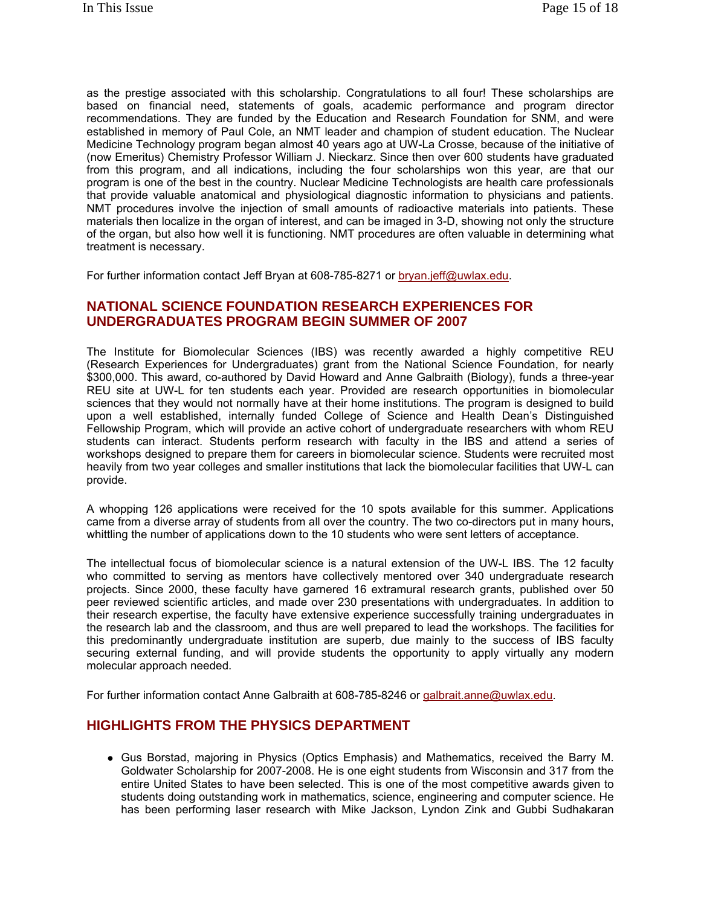as the prestige associated with this scholarship. Congratulations to all four! These scholarships are based on financial need, statements of goals, academic performance and program director recommendations. They are funded by the Education and Research Foundation for SNM, and were established in memory of Paul Cole, an NMT leader and champion of student education. The Nuclear Medicine Technology program began almost 40 years ago at UW-La Crosse, because of the initiative of (now Emeritus) Chemistry Professor William J. Nieckarz. Since then over 600 students have graduated from this program, and all indications, including the four scholarships won this year, are that our program is one of the best in the country. Nuclear Medicine Technologists are health care professionals that provide valuable anatomical and physiological diagnostic information to physicians and patients. NMT procedures involve the injection of small amounts of radioactive materials into patients. These materials then localize in the organ of interest, and can be imaged in 3-D, showing not only the structure of the organ, but also how well it is functioning. NMT procedures are often valuable in determining what treatment is necessary.

For further information contact Jeff Bryan at 608-785-8271 or bryan.jeff@uwlax.edu.

## **NATIONAL SCIENCE FOUNDATION RESEARCH EXPERIENCES FOR UNDERGRADUATES PROGRAM BEGIN SUMMER OF 2007**

The Institute for Biomolecular Sciences (IBS) was recently awarded a highly competitive REU (Research Experiences for Undergraduates) grant from the National Science Foundation, for nearly \$300,000. This award, co-authored by David Howard and Anne Galbraith (Biology), funds a three-year REU site at UW-L for ten students each year. Provided are research opportunities in biomolecular sciences that they would not normally have at their home institutions. The program is designed to build upon a well established, internally funded College of Science and Health Dean's Distinguished Fellowship Program, which will provide an active cohort of undergraduate researchers with whom REU students can interact. Students perform research with faculty in the IBS and attend a series of workshops designed to prepare them for careers in biomolecular science. Students were recruited most heavily from two year colleges and smaller institutions that lack the biomolecular facilities that UW-L can provide.

A whopping 126 applications were received for the 10 spots available for this summer. Applications came from a diverse array of students from all over the country. The two co-directors put in many hours, whittling the number of applications down to the 10 students who were sent letters of acceptance.

The intellectual focus of biomolecular science is a natural extension of the UW-L IBS. The 12 faculty who committed to serving as mentors have collectively mentored over 340 undergraduate research projects. Since 2000, these faculty have garnered 16 extramural research grants, published over 50 peer reviewed scientific articles, and made over 230 presentations with undergraduates. In addition to their research expertise, the faculty have extensive experience successfully training undergraduates in the research lab and the classroom, and thus are well prepared to lead the workshops. The facilities for this predominantly undergraduate institution are superb, due mainly to the success of IBS faculty securing external funding, and will provide students the opportunity to apply virtually any modern molecular approach needed.

For further information contact Anne Galbraith at 608-785-8246 or galbrait.anne@uwlax.edu.

## **HIGHLIGHTS FROM THE PHYSICS DEPARTMENT**

• Gus Borstad, majoring in Physics (Optics Emphasis) and Mathematics, received the Barry M. Goldwater Scholarship for 2007-2008. He is one eight students from Wisconsin and 317 from the entire United States to have been selected. This is one of the most competitive awards given to students doing outstanding work in mathematics, science, engineering and computer science. He has been performing laser research with Mike Jackson, Lyndon Zink and Gubbi Sudhakaran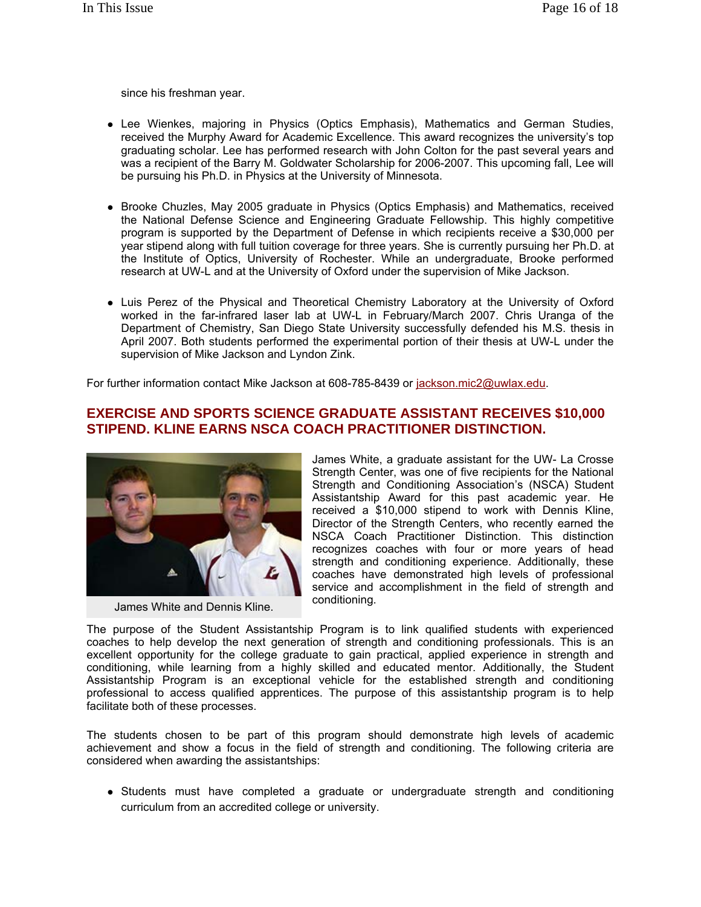since his freshman year.

- Lee Wienkes, majoring in Physics (Optics Emphasis), Mathematics and German Studies, received the Murphy Award for Academic Excellence. This award recognizes the university's top graduating scholar. Lee has performed research with John Colton for the past several years and was a recipient of the Barry M. Goldwater Scholarship for 2006-2007. This upcoming fall, Lee will be pursuing his Ph.D. in Physics at the University of Minnesota.
- Brooke Chuzles, May 2005 graduate in Physics (Optics Emphasis) and Mathematics, received the National Defense Science and Engineering Graduate Fellowship. This highly competitive program is supported by the Department of Defense in which recipients receive a \$30,000 per year stipend along with full tuition coverage for three years. She is currently pursuing her Ph.D. at the Institute of Optics, University of Rochester. While an undergraduate, Brooke performed research at UW-L and at the University of Oxford under the supervision of Mike Jackson.
- Luis Perez of the Physical and Theoretical Chemistry Laboratory at the University of Oxford worked in the far-infrared laser lab at UW-L in February/March 2007. Chris Uranga of the Department of Chemistry, San Diego State University successfully defended his M.S. thesis in April 2007. Both students performed the experimental portion of their thesis at UW-L under the supervision of Mike Jackson and Lyndon Zink.

For further information contact Mike Jackson at 608-785-8439 or jackson.mic2@uwlax.edu.

## **EXERCISE AND SPORTS SCIENCE GRADUATE ASSISTANT RECEIVES \$10,000 STIPEND. KLINE EARNS NSCA COACH PRACTITIONER DISTINCTION.**



James White and Dennis Kline.

James White, a graduate assistant for the UW- La Crosse Strength Center, was one of five recipients for the National Strength and Conditioning Association's (NSCA) Student Assistantship Award for this past academic year. He received a \$10,000 stipend to work with Dennis Kline, Director of the Strength Centers, who recently earned the NSCA Coach Practitioner Distinction. This distinction recognizes coaches with four or more years of head strength and conditioning experience. Additionally, these coaches have demonstrated high levels of professional service and accomplishment in the field of strength and conditioning.

The purpose of the Student Assistantship Program is to link qualified students with experienced coaches to help develop the next generation of strength and conditioning professionals. This is an excellent opportunity for the college graduate to gain practical, applied experience in strength and conditioning, while learning from a highly skilled and educated mentor. Additionally, the Student Assistantship Program is an exceptional vehicle for the established strength and conditioning professional to access qualified apprentices. The purpose of this assistantship program is to help facilitate both of these processes.

The students chosen to be part of this program should demonstrate high levels of academic achievement and show a focus in the field of strength and conditioning. The following criteria are considered when awarding the assistantships:

• Students must have completed a graduate or undergraduate strength and conditioning curriculum from an accredited college or university.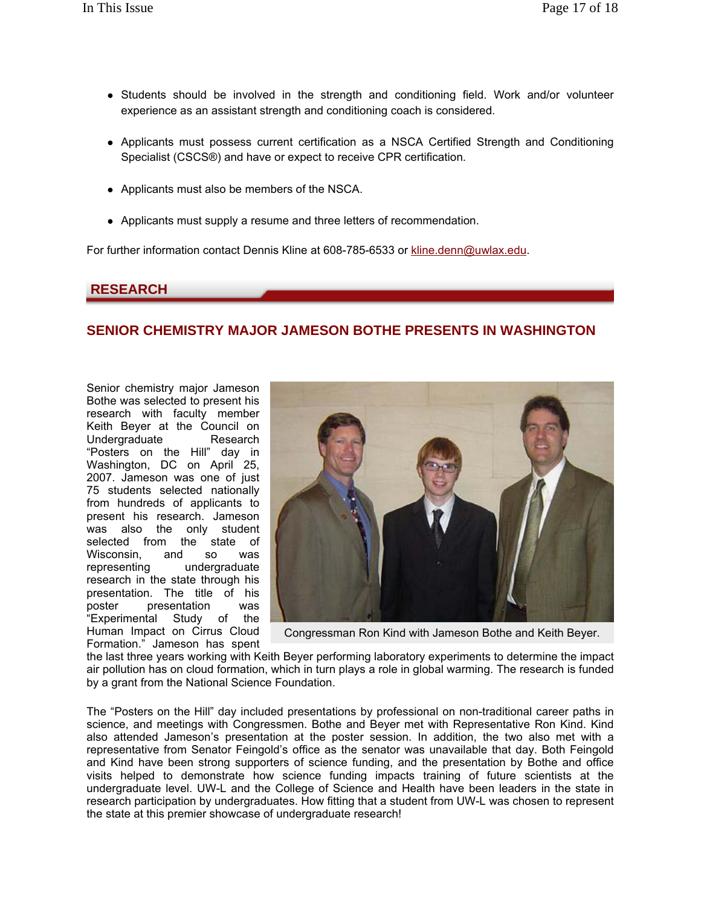- Students should be involved in the strength and conditioning field. Work and/or volunteer experience as an assistant strength and conditioning coach is considered.
- Applicants must possess current certification as a NSCA Certified Strength and Conditioning Specialist (CSCS®) and have or expect to receive CPR certification.
- Applicants must also be members of the NSCA.
- Applicants must supply a resume and three letters of recommendation.

For further information contact Dennis Kline at 608-785-6533 or kline.denn@uwlax.edu.

### **RESEARCH**

## **SENIOR CHEMISTRY MAJOR JAMESON BOTHE PRESENTS IN WASHINGTON**

Senior chemistry major Jameson Bothe was selected to present his research with faculty member Keith Beyer at the Council on Undergraduate Research "Posters on the Hill" day in Washington, DC on April 25, 2007. Jameson was one of just 75 students selected nationally from hundreds of applicants to present his research. Jameson was also the only student selected from the state of Wisconsin, and so was representing undergraduate research in the state through his presentation. The title of his presentation was "Experimental Study of the Human Impact on Cirrus Cloud Formation." Jameson has spent



Congressman Ron Kind with Jameson Bothe and Keith Beyer.

the last three years working with Keith Beyer performing laboratory experiments to determine the impact air pollution has on cloud formation, which in turn plays a role in global warming. The research is funded by a grant from the National Science Foundation.

The "Posters on the Hill" day included presentations by professional on non-traditional career paths in science, and meetings with Congressmen. Bothe and Beyer met with Representative Ron Kind. Kind also attended Jameson's presentation at the poster session. In addition, the two also met with a representative from Senator Feingold's office as the senator was unavailable that day. Both Feingold and Kind have been strong supporters of science funding, and the presentation by Bothe and office visits helped to demonstrate how science funding impacts training of future scientists at the undergraduate level. UW-L and the College of Science and Health have been leaders in the state in research participation by undergraduates. How fitting that a student from UW-L was chosen to represent the state at this premier showcase of undergraduate research!